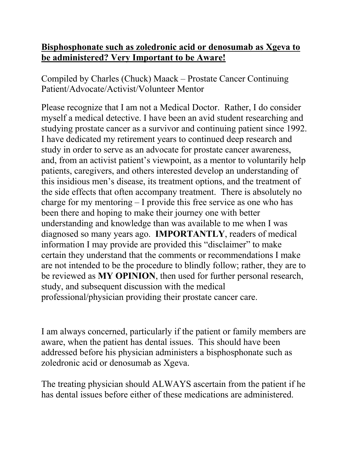## **Bisphosphonate such as zoledronic acid or denosumab as Xgeva to be administered? Very Important to be Aware!**

Compiled by Charles (Chuck) Maack – Prostate Cancer Continuing Patient/Advocate/Activist/Volunteer Mentor

Please recognize that I am not a Medical Doctor. Rather, I do consider myself a medical detective. I have been an avid student researching and studying prostate cancer as a survivor and continuing patient since 1992. I have dedicated my retirement years to continued deep research and study in order to serve as an advocate for prostate cancer awareness, and, from an activist patient's viewpoint, as a mentor to voluntarily help patients, caregivers, and others interested develop an understanding of this insidious men's disease, its treatment options, and the treatment of the side effects that often accompany treatment. There is absolutely no charge for my mentoring – I provide this free service as one who has been there and hoping to make their journey one with better understanding and knowledge than was available to me when I was diagnosed so many years ago. **IMPORTANTLY**, readers of medical information I may provide are provided this "disclaimer" to make certain they understand that the comments or recommendations I make are not intended to be the procedure to blindly follow; rather, they are to be reviewed as **MY OPINION**, then used for further personal research, study, and subsequent discussion with the medical professional/physician providing their prostate cancer care.

I am always concerned, particularly if the patient or family members are aware, when the patient has dental issues. This should have been addressed before his physician administers a bisphosphonate such as zoledronic acid or denosumab as Xgeva.

The treating physician should ALWAYS ascertain from the patient if he has dental issues before either of these medications are administered.